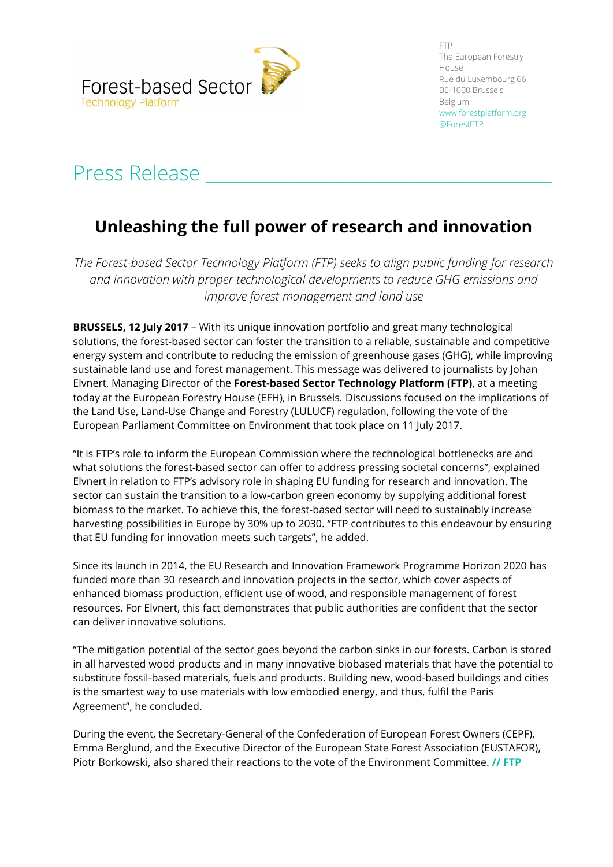

FTP The European Forestry House Rue du Luxembourg 66 BE-1000 Brussels Belgium [www.forestplatform.org](http://www.forestplatform.org/) @ForestETP

## Press Release

## **Unleashing the full power of research and innovation**

*The Forest-based Sector Technology Platform (FTP) seeks to align public funding for research and innovation with proper technological developments to reduce GHG emissions and improve forest management and land use*

**BRUSSELS, 12 July 2017** – With its unique innovation portfolio and great many technological solutions, the forest-based sector can foster the transition to a reliable, sustainable and competitive energy system and contribute to reducing the emission of greenhouse gases (GHG), while improving sustainable land use and forest management. This message was delivered to journalists by Johan Elvnert, Managing Director of the **Forest-based Sector Technology Platform (FTP)**, at a meeting today at the European Forestry House (EFH), in Brussels. Discussions focused on the implications of the Land Use, Land-Use Change and Forestry (LULUCF) regulation, following the vote of the European Parliament Committee on Environment that took place on 11 July 2017.

"It is FTP's role to inform the European Commission where the technological bottlenecks are and what solutions the forest-based sector can offer to address pressing societal concerns", explained Elvnert in relation to FTP's advisory role in shaping EU funding for research and innovation. The sector can sustain the transition to a low-carbon green economy by supplying additional forest biomass to the market. To achieve this, the forest-based sector will need to sustainably increase harvesting possibilities in Europe by 30% up to 2030. "FTP contributes to this endeavour by ensuring that EU funding for innovation meets such targets", he added.

Since its launch in 2014, the EU Research and Innovation Framework Programme Horizon 2020 has funded more than 30 research and innovation projects in the sector, which cover aspects of enhanced biomass production, efficient use of wood, and responsible management of forest resources. For Elvnert, this fact demonstrates that public authorities are confident that the sector can deliver innovative solutions.

"The mitigation potential of the sector goes beyond the carbon sinks in our forests. Carbon is stored in all harvested wood products and in many innovative biobased materials that have the potential to substitute fossil-based materials, fuels and products. Building new, wood-based buildings and cities is the smartest way to use materials with low embodied energy, and thus, fulfil the Paris Agreement", he concluded.

During the event, the Secretary-General of the Confederation of European Forest Owners (CEPF), Emma Berglund, and the Executive Director of the European State Forest Association (EUSTAFOR), Piotr Borkowski, also shared their reactions to the vote of the Environment Committee. **// FTP**